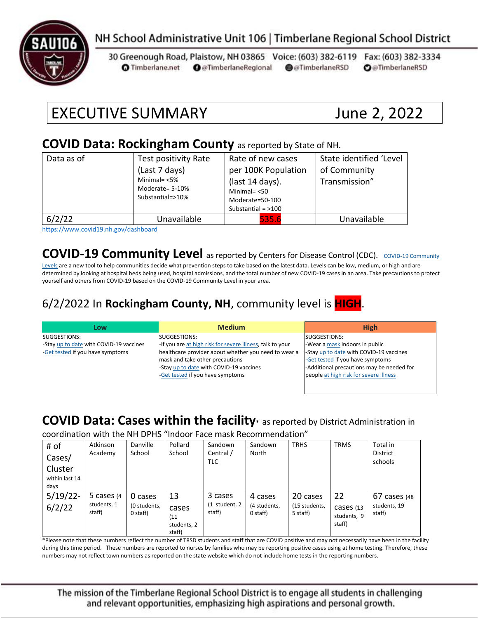

#### NH School Administrative Unit 106 | Timberlane Regional School District

30 Greenough Road, Plaistow, NH 03865 Voice: (603) 382-6119 Fax: (603) 382-3334 **O** @TimberlaneRegional @@TimberlaneRSD **O**@TimberlaneRSD **O** Timberlane.net

# EXECUTIVE SUMMARY June 2, 2022

#### **COVID Data: Rockingham County** as reported by State of NH.

| Data as of | Test positivity Rate<br>(Last 7 days)<br>Minimal= $<$ 5%<br>Moderate= 5-10%<br>Substantial=>10% | Rate of new cases<br>per 100K Population<br>(last 14 days).<br>Minimal $=$ <50<br>Moderate=50-100<br>Substantial = $>100$ | State identified 'Level<br>of Community<br>Transmission" |
|------------|-------------------------------------------------------------------------------------------------|---------------------------------------------------------------------------------------------------------------------------|----------------------------------------------------------|
| 6/2/22     | Unavailable                                                                                     | 535.6                                                                                                                     | Unavailable                                              |

<https://www.covid19.nh.gov/dashboard>

#### **[COVID-19 Community](https://www.cdc.gov/coronavirus/2019-ncov/science/community-levels.html) Level** as reported by Centers for Disease Control (CDC). COVID-19 Community

[Levels](https://www.cdc.gov/coronavirus/2019-ncov/science/community-levels.html) are a new tool to help communities decide what prevention steps to take based on the latest data. Levels can be low, medium, or high and are determined by looking at hospital beds being used, hospital admissions, and the total number of new COVID-19 cases in an area. Take precautions to protect yourself and others from COVID-19 based on the COVID-19 Community Level in your area.

#### 6/2/2022 In **Rockingham County, NH**, community level is **HIGH**.

| Low                                     | <b>Medium</b>                                             | <b>High</b>                               |
|-----------------------------------------|-----------------------------------------------------------|-------------------------------------------|
| SUGGESTIONS:                            | SUGGESTIONS:                                              | SUGGESTIONS:                              |
| -Stay up to date with COVID-19 vaccines | -If you are at high risk for severe illness, talk to your | -Wear a mask indoors in public            |
| -Get tested if you have symptoms        | healthcare provider about whether you need to wear a      | -Stay up to date with COVID-19 vaccines   |
|                                         | mask and take other precautions                           | -Get tested if you have symptoms          |
|                                         | -Stay up to date with COVID-19 vaccines                   | -Additional precautions may be needed for |
|                                         | -Get tested if you have symptoms                          | people at high risk for severe illness    |
|                                         |                                                           |                                           |

### **COVID Data: Cases within the facility\*** as reported by District Administration in

coordination with the NH DPHS "Indoor Face mask Recommendation"

| # of<br>Cases/<br>Cluster<br>within last 14<br>days | Atkinson<br>Academy                    | Danville<br>School                  | Pollard<br>School                            | Sandown<br>Central /<br><b>TLC</b> | Sandown<br>North                    | <b>TRHS</b>                           | <b>TRMS</b>                              | Total in<br><b>District</b><br>schools   |
|-----------------------------------------------------|----------------------------------------|-------------------------------------|----------------------------------------------|------------------------------------|-------------------------------------|---------------------------------------|------------------------------------------|------------------------------------------|
| $5/19/22$ -<br>6/2/22                               | 5 cases $(4)$<br>students, 1<br>staff) | 0 cases<br>(0 students,<br>0 staff) | 13<br>cases<br>(11)<br>students, 2<br>staff) | 3 cases<br>(1 student, 2<br>staff) | 4 cases<br>(4 students,<br>0 staff) | 20 cases<br>(15 students,<br>5 staff) | 22<br>Cases (13<br>students, 9<br>staff) | $67$ cases (48<br>students, 19<br>staff) |

\*Please note that these numbers reflect the number of TRSD students and staff that are COVID positive and may not necessarily have been in the facility during this time period. These numbers are reported to nurses by families who may be reporting positive cases using at home testing. Therefore, these numbers may not reflect town numbers as reported on the state website which do not include home tests in the reporting numbers.

The mission of the Timberlane Regional School District is to engage all students in challenging and relevant opportunities, emphasizing high aspirations and personal growth.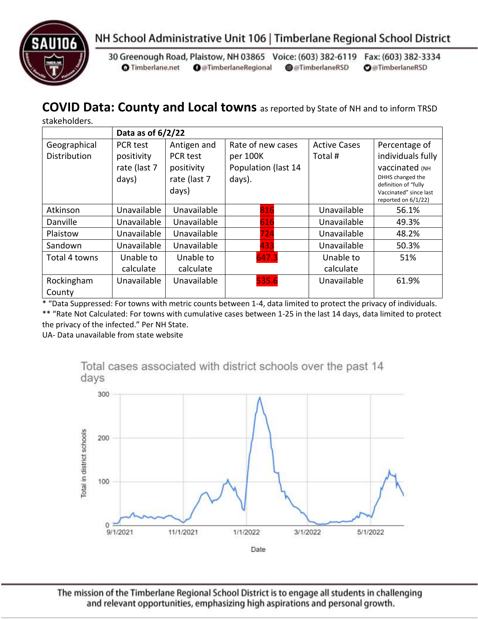



30 Greenough Road, Plaistow, NH 03865 Voice: (603) 382-6119 Fax: (603) 382-3334 **O** Timberlane.net **O** @TimberlaneRegional @@TimberlaneRSD **O**@TimberlaneRSD

#### **COVID Data: County and Local towns** as reported by State of NH and to inform TRSD

stakeholders.

|               | Data as of $6/2/22$ |              |                     |                     |                                               |  |
|---------------|---------------------|--------------|---------------------|---------------------|-----------------------------------------------|--|
| Geographical  | PCR test            | Antigen and  | Rate of new cases   | <b>Active Cases</b> | Percentage of                                 |  |
| Distribution  | positivity          | PCR test     | per 100K            | Total#              | individuals fully                             |  |
|               | rate (last 7        | positivity   | Population (last 14 |                     | Vaccinated (NH                                |  |
|               | days)               | rate (last 7 | days).              |                     | DHHS changed the<br>definition of "fully      |  |
|               |                     | days)        |                     |                     | Vaccinated" since last<br>reported on 6/1/22) |  |
| Atkinson      | Unavailable         | Unavailable  | 816                 | Unavailable         | 56.1%                                         |  |
| Danville      | Unavailable         | Unavailable  | 616                 | Unavailable         | 49.3%                                         |  |
| Plaistow      | Unavailable         | Unavailable  | 724                 | Unavailable         | 48.2%                                         |  |
| Sandown       | Unavailable         | Unavailable  | 433                 | Unavailable         | 50.3%                                         |  |
| Total 4 towns | Unable to           | Unable to    | 647.3               | Unable to           | 51%                                           |  |
|               | calculate           | calculate    |                     | calculate           |                                               |  |
| Rockingham    | Unavailable         | Unavailable  | 535.6               | Unavailable         | 61.9%                                         |  |
| County        |                     |              |                     |                     |                                               |  |

\* "Data Suppressed: For towns with metric counts between 1-4, data limited to protect the privacy of individuals. \*\* "Rate Not Calculated: For towns with cumulative cases between 1-25 in the last 14 days, data limited to protect the privacy of the infected." Per NH State.

UA- Data unavailable from state website



The mission of the Timberlane Regional School District is to engage all students in challenging and relevant opportunities, emphasizing high aspirations and personal growth.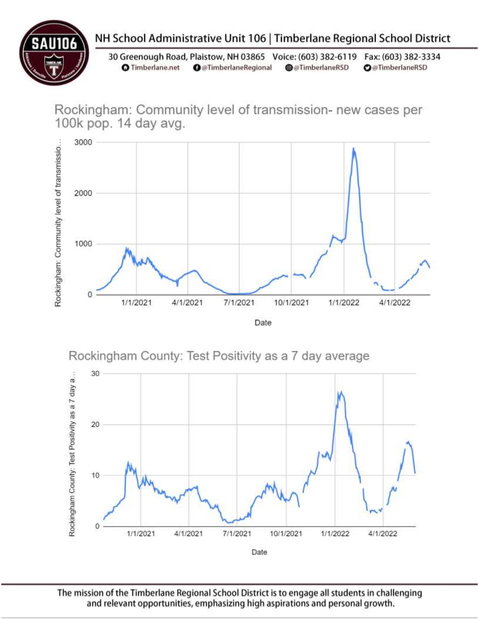

## NH School Administrative Unit 106 | Timberlane Regional School District

30 Greenough Road, Plaistow, NH 03865 Voice: (603) 382-6119 Fax: (603) 382-3334 **O** Timberlane.net **O** @TimberlaneRegional @@TimberlaneRSD **O**@TimberlaneRSD

Rockingham: Community level of transmission- new cases per 100k pop. 14 day avg.



Rockingham County: Test Positivity as a 7 day average



The mission of the Timberlane Regional School District is to engage all students in challenging and relevant opportunities, emphasizing high aspirations and personal growth.